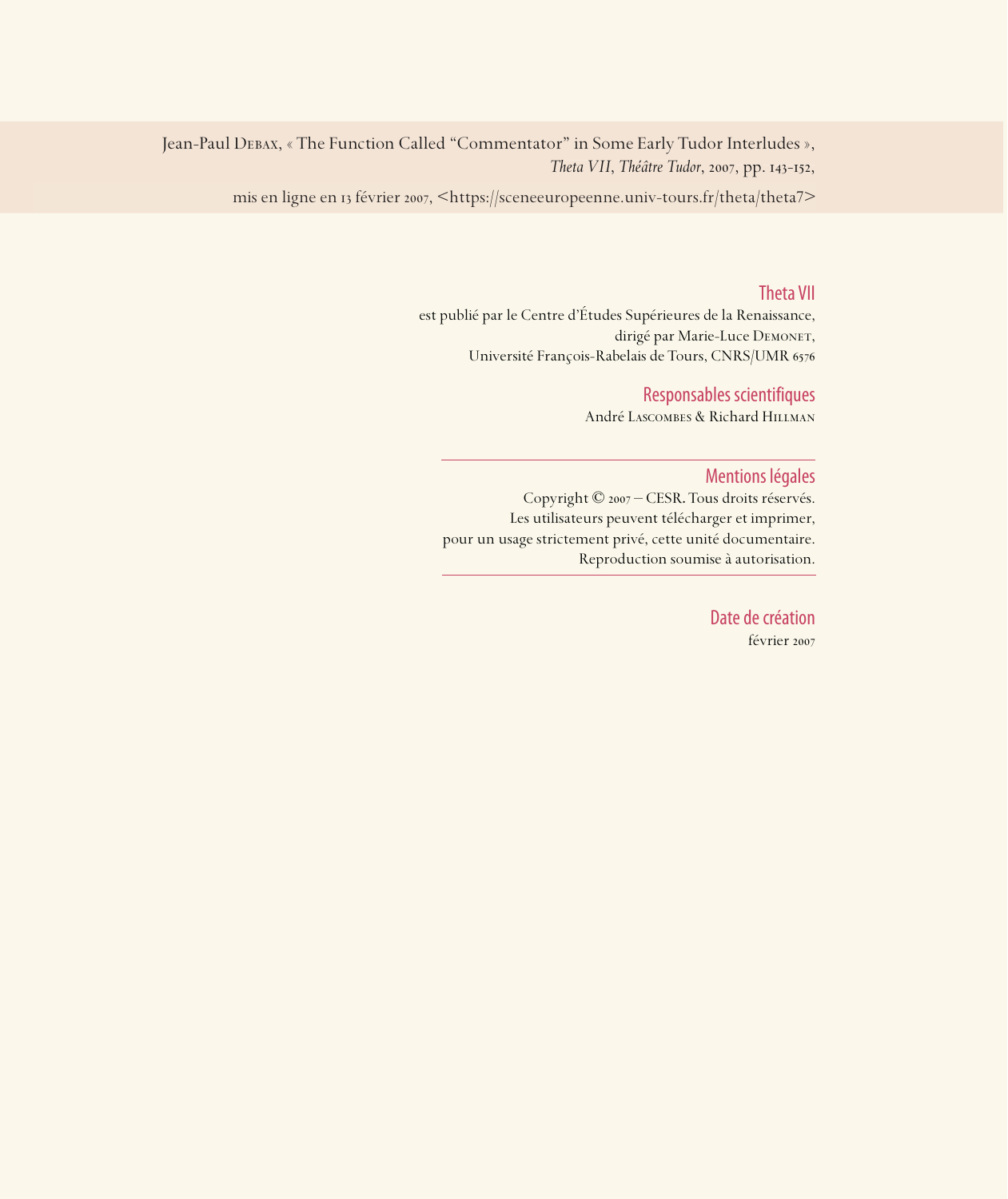Jean-Paul Debax, « The Function Called "Commentator" in Some Early Tudor Interludes », *Theta VII*, *Théâtre Tudor*, 2007, pp. 143-152,

mis en ligne en 13 février 2007, <https://sceneeuropeenne.univ-tours.fr/theta/theta7>

# Theta VII

est publié par le Centre d'Études Supérieures de la Renaissance, dirigé par Marie-Luce DEMONET, Université François-Rabelais de Tours, CNRS/UMR

# Responsables scientifiques

André Lascombes & Richard Hillman

# Mentions légales

Copyright © 2007 – CESR. Tous droits réservés. Les utilisateurs peuvent télécharger et imprimer, pour un usage strictement privé, cette unité documentaire. Reproduction soumise à autorisation.

> Date de création février 2007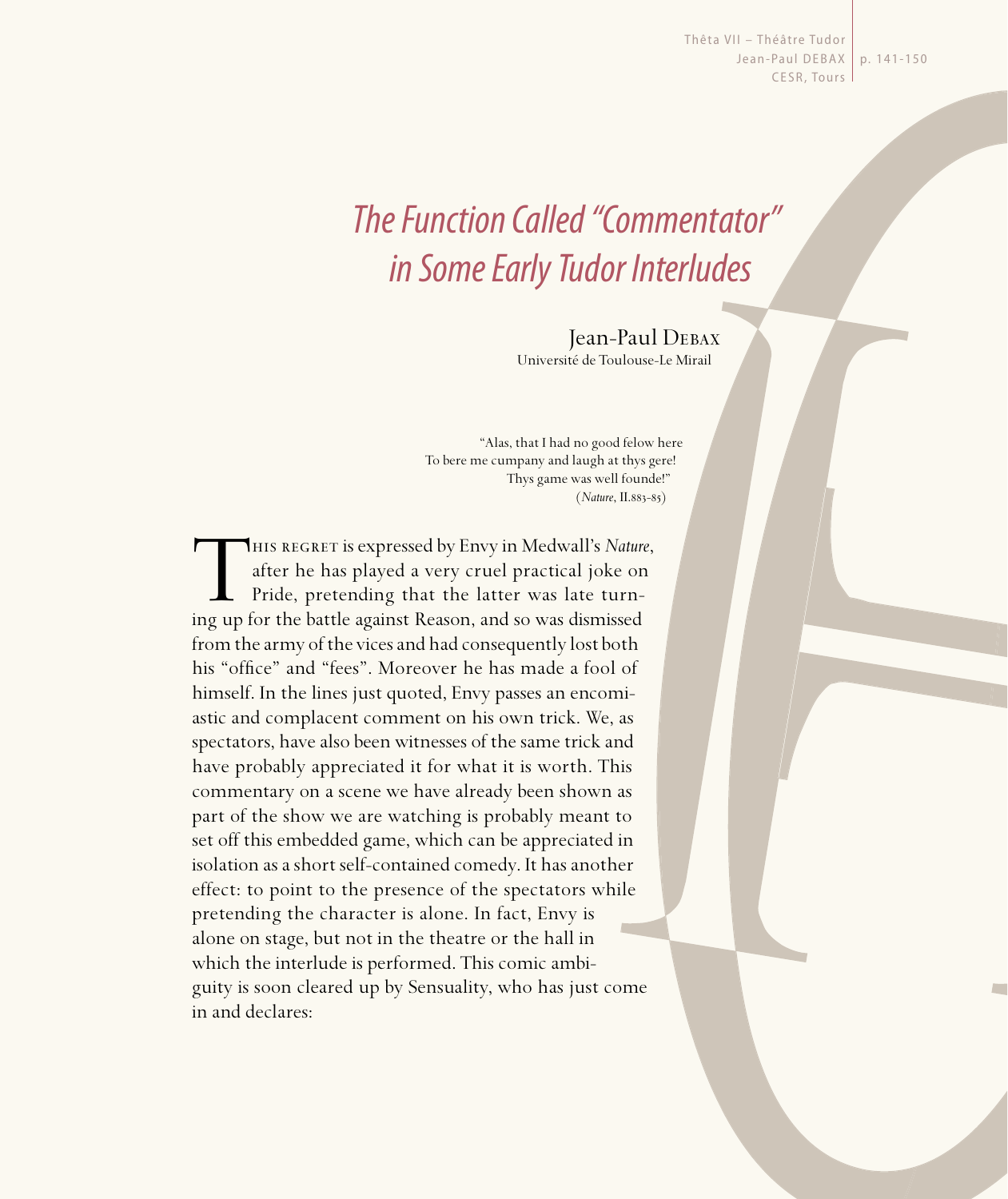Thêta VII - Théâtre Tudor Jean-Paul DEBAX | p. 141-150 CESR, Tours

# The Function Called "Commentator" in Some Early Tudor Interludes

Jean-Paul Debax Université de Toulouse-Le Mirail

"Alas, that I had no good felow here To bere me cumpany and laugh at thys gere! Thys game was well founde!"  $(Nature, II.883 - 85)$ 

THIS REGRET is expressed by Envy in Medwall's *Nature*, after he has played a very cruel practical joke on Pride, pretending that the latter was late turning up for the battle against Reason, and so was dismissed after he has played a very cruel practical joke on Pride, pretending that the latter was late turning up for the battle against Reason, and so was dismissed from the army of the vices and had consequently lost both his "office" and "fees". Moreover he has made a fool of himself. In the lines just quoted, Envy passes an encomiastic and complacent comment on his own trick. We, as spectators, have also been witnesses of the same trick and have probably appreciated it for what it is worth. This commentary on a scene we have already been shown as part of the show we are watching is probably meant to set off this embedded game, which can be appreciated in isolation as a short self-contained comedy. It has another effect: to point to the presence of the spectators while pretending the character is alone. In fact, Envy is alone on stage, but not in the theatre or the hall in which the interlude is performed. This comic ambiguity is soon cleared up by Sensuality, who has just come in and declares: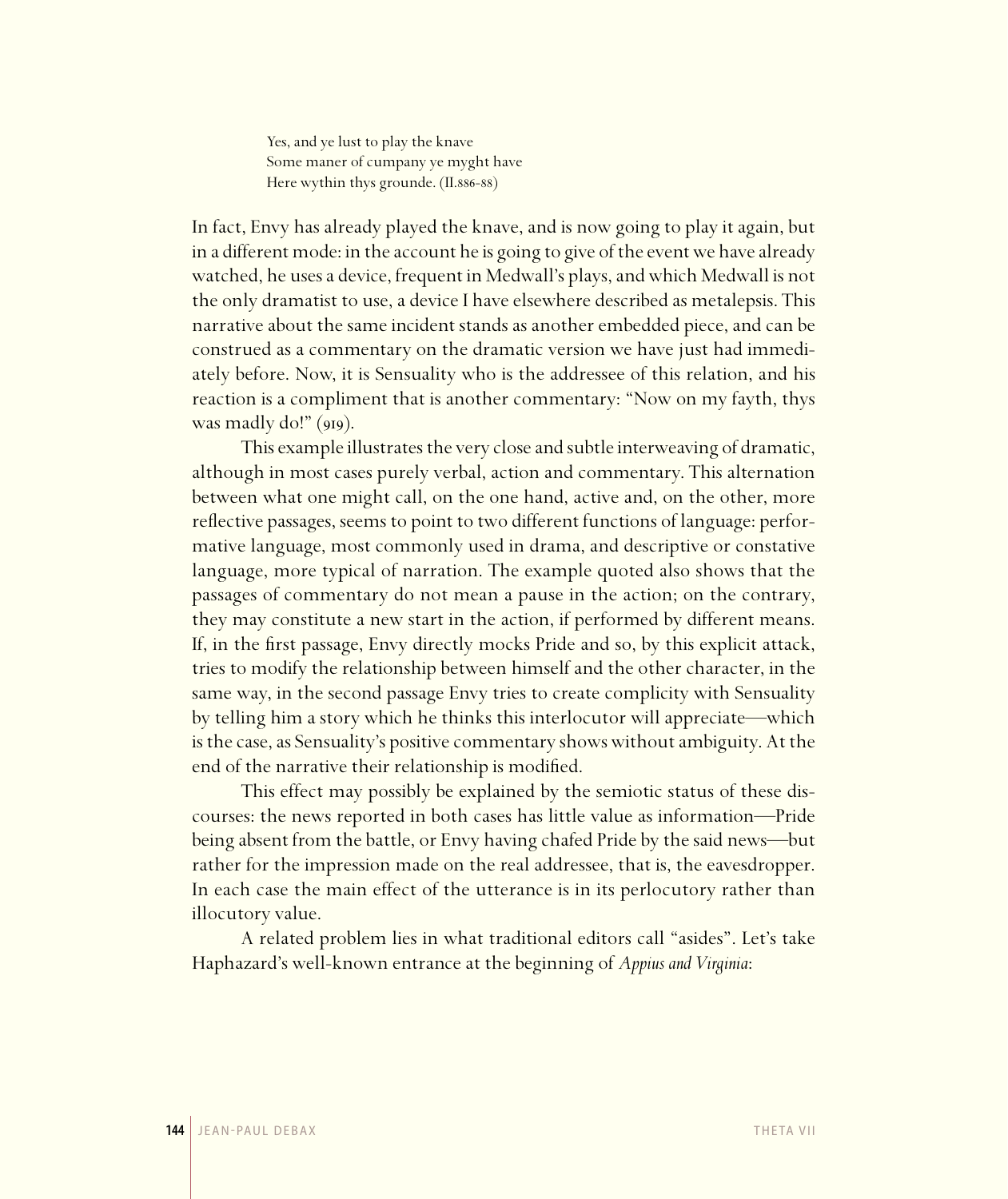Yes, and ye lust to play the knave Some maner of cumpany ye myght have Here wythin thys grounde. (II.886-88)

In fact, Envy has already played the knave, and is now going to play it again, but in a different mode: in the account he is going to give of the event we have already watched, he uses a device, frequent in Medwall's plays, and which Medwall is not the only dramatist to use, a device I have elsewhere described as metalepsis. This narrative about the same incident stands as another embedded piece, and can be construed as a commentary on the dramatic version we have just had immediately before. Now, it is Sensuality who is the addressee of this relation, and his reaction is a compliment that is another commentary: "Now on my fayth, thys was madly do!"  $(gIg)$ .

This example illustrates the very close and subtle interweaving of dramatic, although in most cases purely verbal, action and commentary. This alternation between what one might call, on the one hand, active and, on the other, more reflective passages, seems to point to two different functions of language: performative language, most commonly used in drama, and descriptive or constative language, more typical of narration. The example quoted also shows that the passages of commentary do not mean a pause in the action; on the contrary, they may constitute a new start in the action, if performed by different means. If, in the first passage, Envy directly mocks Pride and so, by this explicit attack, tries to modify the relationship between himself and the other character, in the same way, in the second passage Envy tries to create complicity with Sensuality by telling him a story which he thinks this interlocutor will appreciate—which is the case, as Sensuality's positive commentary shows without ambiguity. At the end of the narrative their relationship is modified.

This effect may possibly be explained by the semiotic status of these discourses: the news reported in both cases has little value as information—Pride being absent from the battle, or Envy having chafed Pride by the said news—but rather for the impression made on the real addressee, that is, the eavesdropper. In each case the main effect of the utterance is in its perlocutory rather than illocutory value.

A related problem lies in what traditional editors call "asides". Let's take Haphazard's well-known entrance at the beginning of *Appius and Virginia*: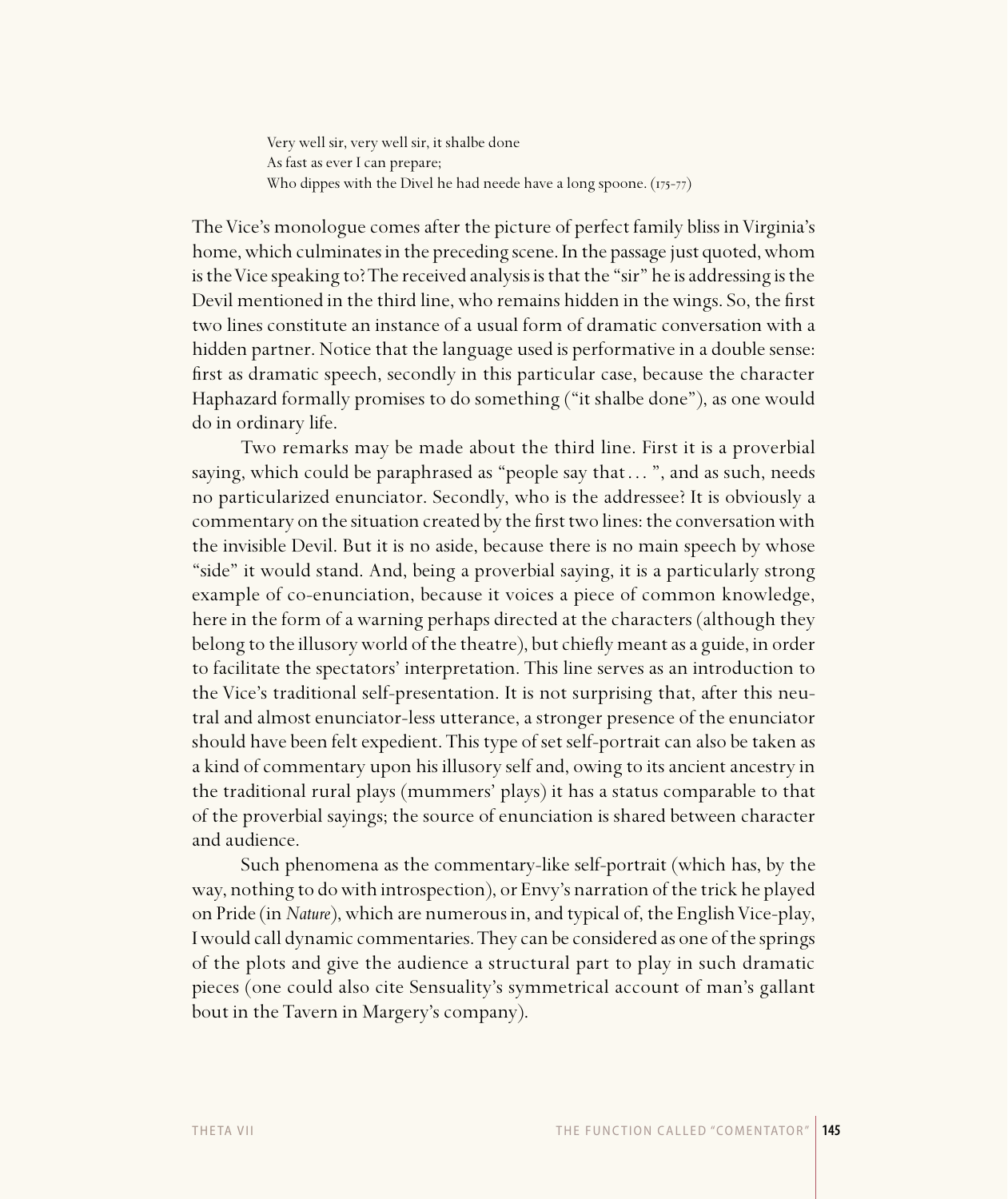Very well sir, very well sir, it shalbe done As fast as ever I can prepare; Who dippes with the Divel he had neede have a long spoone.  $(175-77)$ 

The Vice's monologue comes after the picture of perfect family bliss in Virginia's home, which culminates in the preceding scene. In the passage just quoted, whom is the Vice speaking to? The received analysis is that the "sir" he is addressing is the Devil mentioned in the third line, who remains hidden in the wings. So, the first two lines constitute an instance of a usual form of dramatic conversation with a hidden partner. Notice that the language used is performative in a double sense: first as dramatic speech, secondly in this particular case, because the character Haphazard formally promises to do something ("it shalbe done"), as one would do in ordinary life.

Two remarks may be made about the third line. First it is a proverbial saying, which could be paraphrased as "people say that ...", and as such, needs no particularized enunciator. Secondly, who is the addressee? It is obviously a commentary on the situation created by the first two lines: the conversation with the invisible Devil. But it is no aside, because there is no main speech by whose "side" it would stand. And, being a proverbial saying, it is a particularly strong example of co-enunciation, because it voices a piece of common knowledge, here in the form of a warning perhaps directed at the characters (although they belong to the illusory world of the theatre), but chiefly meant as a guide, in order to facilitate the spectators' interpretation. This line serves as an introduction to the Vice's traditional self-presentation. It is not surprising that, after this neutral and almost enunciator-less utterance, a stronger presence of the enunciator should have been felt expedient. This type of set self-portrait can also be taken as a kind of commentary upon his illusory self and, owing to its ancient ancestry in the traditional rural plays (mummers' plays) it has a status comparable to that of the proverbial sayings; the source of enunciation is shared between character and audience.

Such phenomena as the commentary-like self-portrait (which has, by the way, nothing to do with introspection), or Envy's narration of the trick he played on Pride (in *Nature*), which are numerous in, and typical of, the English Vice-play, I would call dynamic commentaries. They can be considered as one of the springs of the plots and give the audience a structural part to play in such dramatic pieces (one could also cite Sensuality's symmetrical account of man's gallant bout in the Tavern in Margery's company).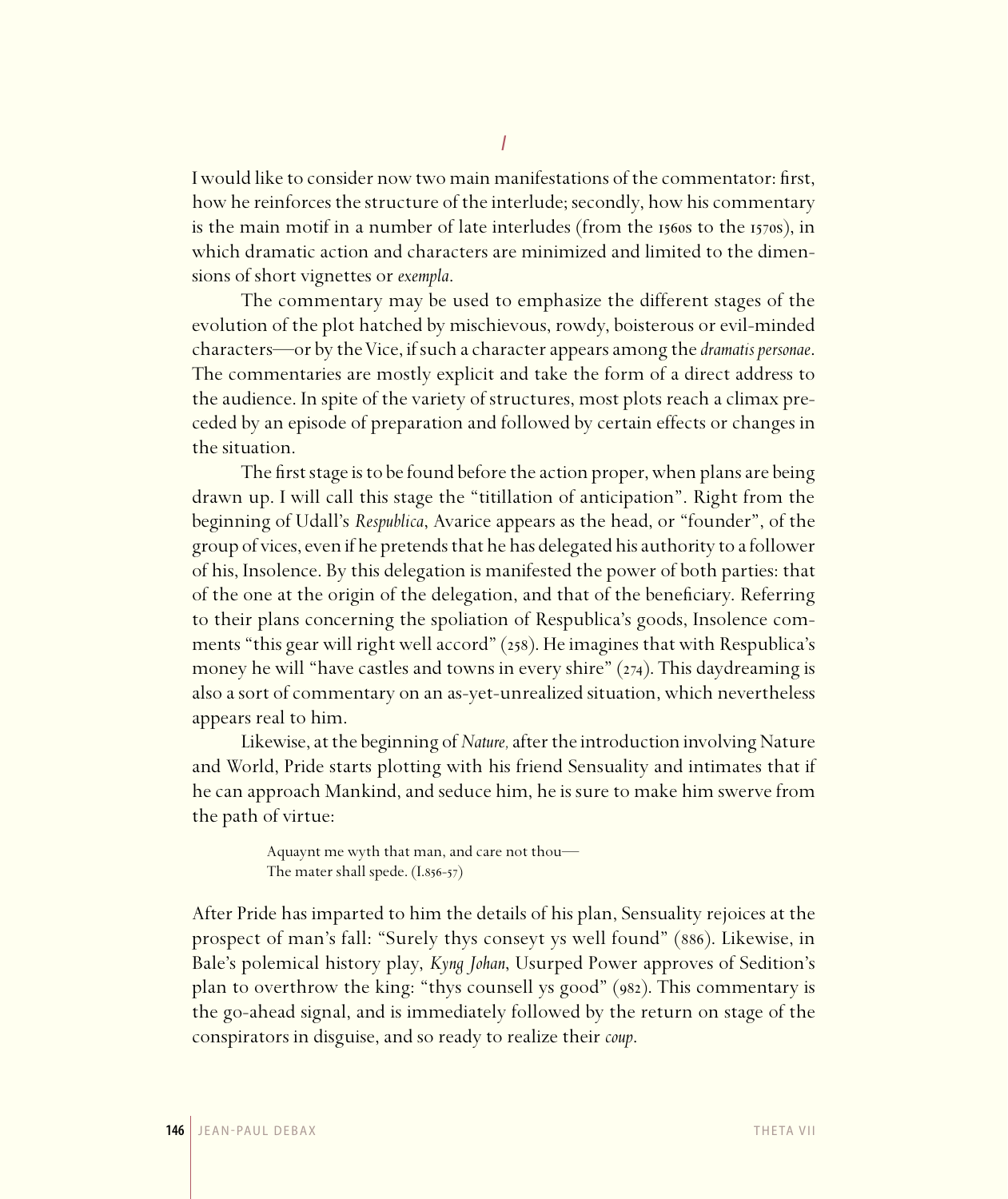I would like to consider now two main manifestations of the commentator: first, how he reinforces the structure of the interlude; secondly, how his commentary is the main motif in a number of late interludes (from the  $1560s$  to the  $1570s$ ), in which dramatic action and characters are minimized and limited to the dimensions of short vignettes or *exempla*.

The commentary may be used to emphasize the different stages of the evolution of the plot hatched by mischievous, rowdy, boisterous or evil-minded characters—or by the Vice, if such a character appears among the *dramatispersonae*. The commentaries are mostly explicit and take the form of a direct address to the audience. In spite of the variety of structures, most plots reach a climax preceded by an episode of preparation and followed by certain effects or changes in the situation.

The first stage is to be found before the action proper, when plans are being drawn up. I will call this stage the "titillation of anticipation". Right from the beginning of Udall's *Respublica*, Avarice appears as the head, or "founder", of the group of vices, even if he pretends that he has delegated his authority to a follower of his, Insolence. By this delegation is manifested the power of both parties: that of the one at the origin of the delegation, and that of the beneficiary. Referring to their plans concerning the spoliation of Respublica's goods, Insolence comments "this gear will right well accord" (258). He imagines that with Respublica's money he will "have castles and towns in every shire"  $(z_{74})$ . This daydreaming is also a sort of commentary on an as-yet-unrealized situation, which nevertheless appears real to him.

Likewise, at the beginning of *Nature,* after the introduction involving Nature and World, Pride starts plotting with his friend Sensuality and intimates that if he can approach Mankind, and seduce him, he is sure to make him swerve from the path of virtue:

> Aquaynt me wyth that man, and care not thou— The mater shall spede.  $(I.856-57)$

After Pride has imparted to him the details of his plan, Sensuality rejoices at the prospect of man's fall: "Surely thys conseyt ys well found" (886). Likewise, in Bale's polemical history play, *Kyng Johan*, Usurped Power approves of Sedition's plan to overthrow the king: "thys counsell ys good"  $(982)$ . This commentary is the go-ahead signal, and is immediately followed by the return on stage of the conspirators in disguise, and so ready to realize their *coup*.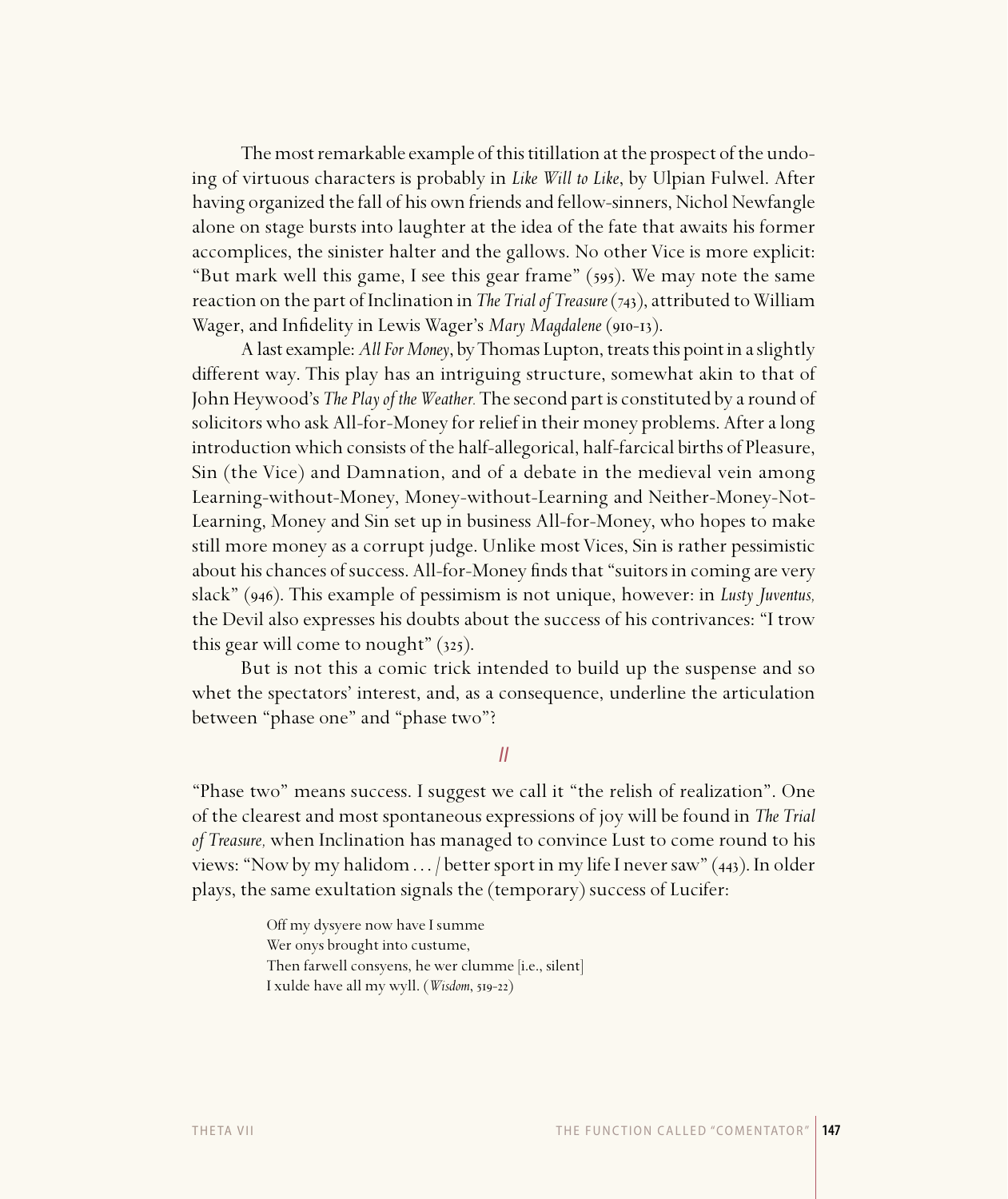The most remarkable example of this titillation at the prospect of the undoing of virtuous characters is probably in *Like Will to Like*, by Ulpian Fulwel. After having organized the fall of his own friends and fellow-sinners, Nichol Newfangle alone on stage bursts into laughter at the idea of the fate that awaits his former accomplices, the sinister halter and the gallows. No other Vice is more explicit: "But mark well this game, I see this gear frame"  $(595)$ . We may note the same reaction on the part of Inclination in *The Trial of Treasure* (743), attributed to William Wager, and Infidelity in Lewis Wager's *Mary Magdalene* (910-13).

A last example: *All For Money*, by Thomas Lupton, treats this point in a slightly different way. This play has an intriguing structure, somewhat akin to that of John Heywood's *The Play of the Weather.* The second part is constituted by a round of solicitors who ask All-for-Money for relief in their money problems. After a long introduction which consists of the half-allegorical, half-farcical births of Pleasure, Sin (the Vice) and Damnation, and of a debate in the medieval vein among Learning-without-Money, Money-without-Learning and Neither-Money-Not-Learning, Money and Sin set up in business All-for-Money, who hopes to make still more money as a corrupt judge. Unlike most Vices, Sin is rather pessimistic about his chances of success. All-for-Money finds that "suitors in coming are very slack" (946). This example of pessimism is not unique, however: in *Lusty Juventus*, the Devil also expresses his doubts about the success of his contrivances: "I trow this gear will come to nought"  $(325)$ .

But is not this a comic trick intended to build up the suspense and so whet the spectators' interest, and, as a consequence, underline the articulation between "phase one" and "phase two"?

#### II

"Phase two" means success. I suggest we call it "the relish of realization". One of the clearest and most spontaneous expressions of joy will be found in *The Trial of Treasure,* when Inclination has managed to convince Lust to come round to his views: "Now by my halidom  $\ldots$  / better sport in my life I never saw" (443). In older plays, the same exultation signals the (temporary) success of Lucifer:

> Off my dysyere now have I summe Wer onys brought into custume, Then farwell consyens, he wer clumme [i.e., silent] I xulde have all my wyll. (*Wisdom*, 519-22)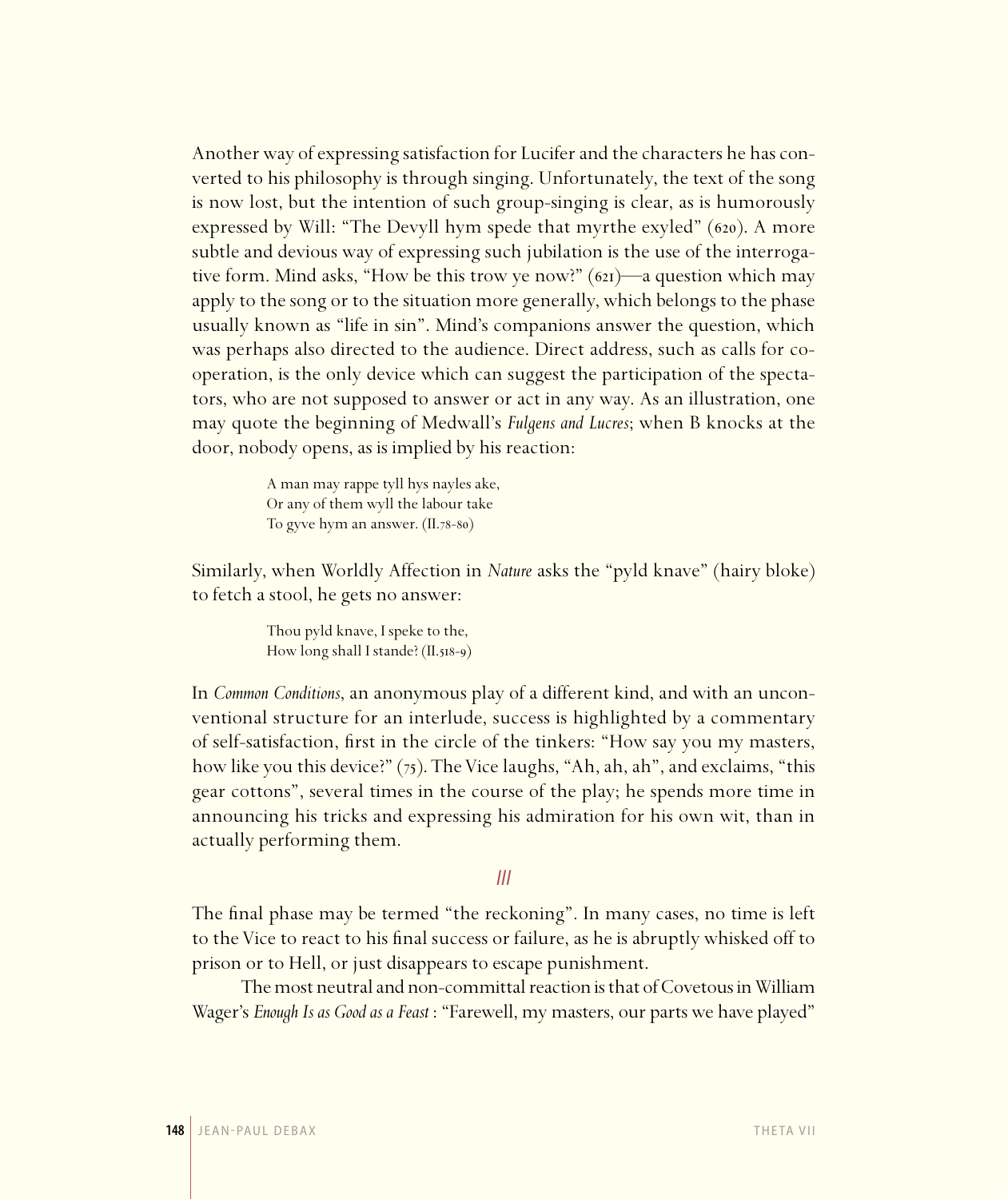Another way of expressing satisfaction for Lucifer and the characters he has converted to his philosophy is through singing. Unfortunately, the text of the song is now lost, but the intention of such group-singing is clear, as is humorously expressed by Will: "The Devyll hym spede that myrthe exyled"  $(620)$ . A more subtle and devious way of expressing such jubilation is the use of the interrogative form. Mind asks, "How be this trow ye now?"  $(621)$ —a question which may apply to the song or to the situation more generally, which belongs to the phase usually known as "life in sin". Mind's companions answer the question, which was perhaps also directed to the audience. Direct address, such as calls for cooperation, is the only device which can suggest the participation of the spectators, who are not supposed to answer or act in any way. As an illustration, one may quote the beginning of Medwall's *Fulgens and Lucres*; when B knocks at the door, nobody opens, as is implied by his reaction:

> A man may rappe tyll hys nayles ake, Or any of them wyll the labour take To gyve hym an answer. (II.78-80)

Similarly, when Worldly Affection in *Nature* asks the "pyld knave" (hairy bloke) to fetch a stool, he gets no answer:

> Thou pyld knave, I speke to the, How long shall I stande?  $(II.518-9)$

In *Common Conditions*, an anonymous play of a different kind, and with an unconventional structure for an interlude, success is highlighted by a commentary of self-satisfaction, first in the circle of the tinkers: "How say you my masters, how like you this device?"  $(75)$ . The Vice laughs, "Ah, ah, ah", and exclaims, "this gear cottons", several times in the course of the play; he spends more time in announcing his tricks and expressing his admiration for his own wit, than in actually performing them.

## III

The final phase may be termed "the reckoning". In many cases, no time is left to the Vice to react to his final success or failure, as he is abruptly whisked off to prison or to Hell, or just disappears to escape punishment.

The most neutral and non-committal reaction is that of Covetous in William Wager's *Enough Is as Good as a Feast* : "Farewell, my masters, our parts we have played"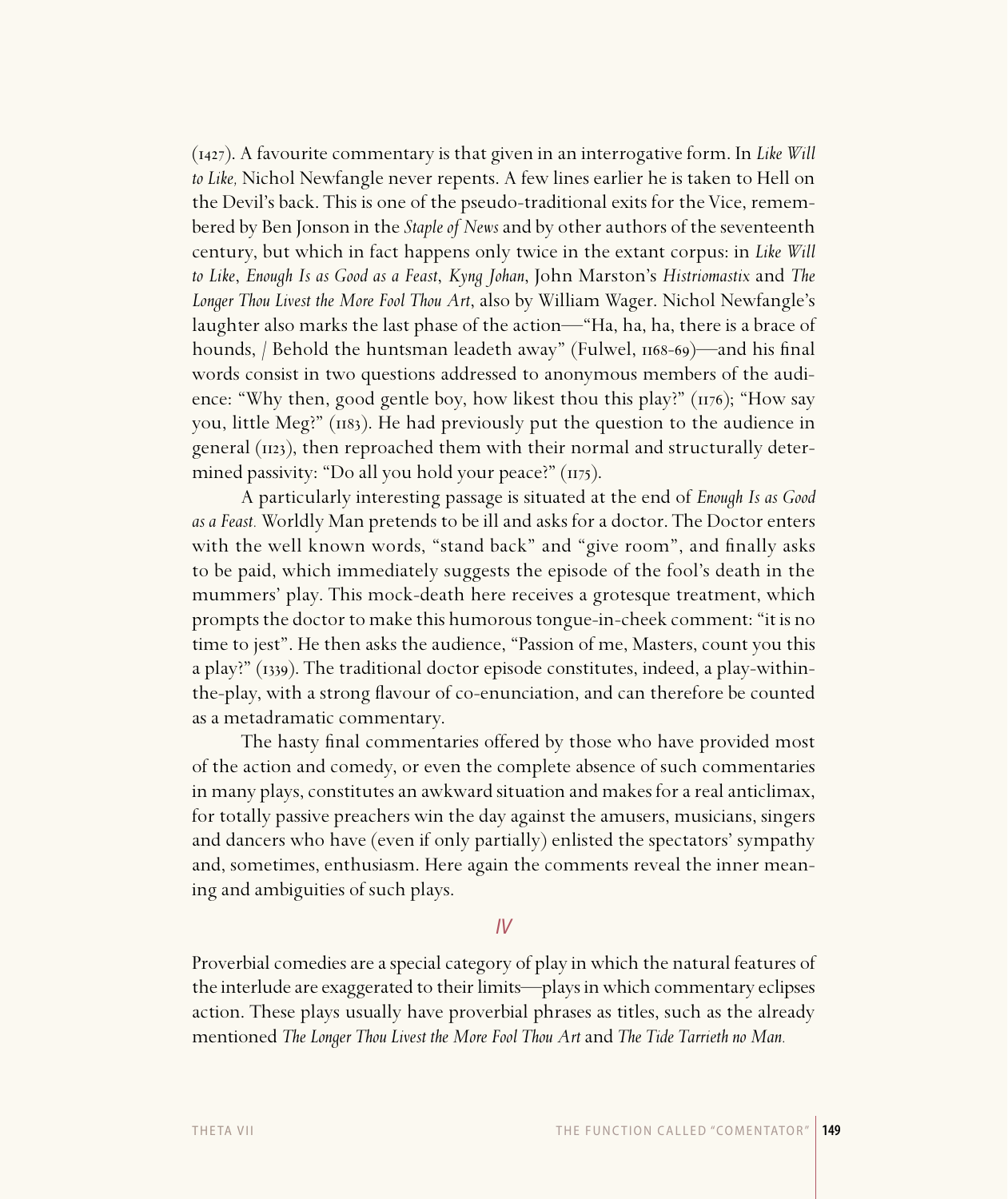(1427). A favourite commentary is that given in an interrogative form. In *Like Will to Like,* Nichol Newfangle never repents. A few lines earlier he is taken to Hell on the Devil's back. This is one of the pseudo-traditional exits for the Vice, remembered by Ben Jonson in the *Staple of News* and by other authors of the seventeenth century, but which in fact happens only twice in the extant corpus: in *Like Will to Like*, *Enough Is as Good as a Feast*, *Kyng Johan*, John Marston's *Histriomastix* and *The Longer Thou Livest the More Fool Thou Art*, also by William Wager. Nichol Newfangle's laughter also marks the last phase of the action—"Ha, ha, ha, there is a brace of hounds,  $/$  Behold the huntsman leadeth away" (Fulwel,  $1168-69$ )—and his final words consist in two questions addressed to anonymous members of the audience: "Why then, good gentle boy, how likest thou this play?"  $(1176)$ ; "How say you, little Meg?"  $(n_8)$ . He had previously put the question to the audience in general  $(n_2)$ , then reproached them with their normal and structurally determined passivity: "Do all you hold your peace?"  $(n_{75})$ .

A particularly interesting passage is situated at the end of *Enough Is as Good as a Feast.* Worldly Man pretends to be ill and asks for a doctor. The Doctor enters with the well known words, "stand back" and "give room", and finally asks to be paid, which immediately suggests the episode of the fool's death in the mummers' play. This mock-death here receives a grotesque treatment, which prompts the doctor to make this humorous tongue-in-cheek comment: "it is no time to jest". He then asks the audience, "Passion of me, Masters, count you this a play?" (1339). The traditional doctor episode constitutes, indeed, a play-withinthe-play, with a strong flavour of co-enunciation, and can therefore be counted as a metadramatic commentary.

The hasty final commentaries offered by those who have provided most of the action and comedy, or even the complete absence of such commentaries in many plays, constitutes an awkward situation and makes for a real anticlimax, for totally passive preachers win the day against the amusers, musicians, singers and dancers who have (even if only partially) enlisted the spectators' sympathy and, sometimes, enthusiasm. Here again the comments reveal the inner meaning and ambiguities of such plays.

# IV

Proverbial comedies are a special category of play in which the natural features of the interlude are exaggerated to their limits—plays in which commentary eclipses action. These plays usually have proverbial phrases as titles, such as the already mentioned *The Longer Thou Livest the More Fool Thou Art* and *The Tide Tarrieth no Man.*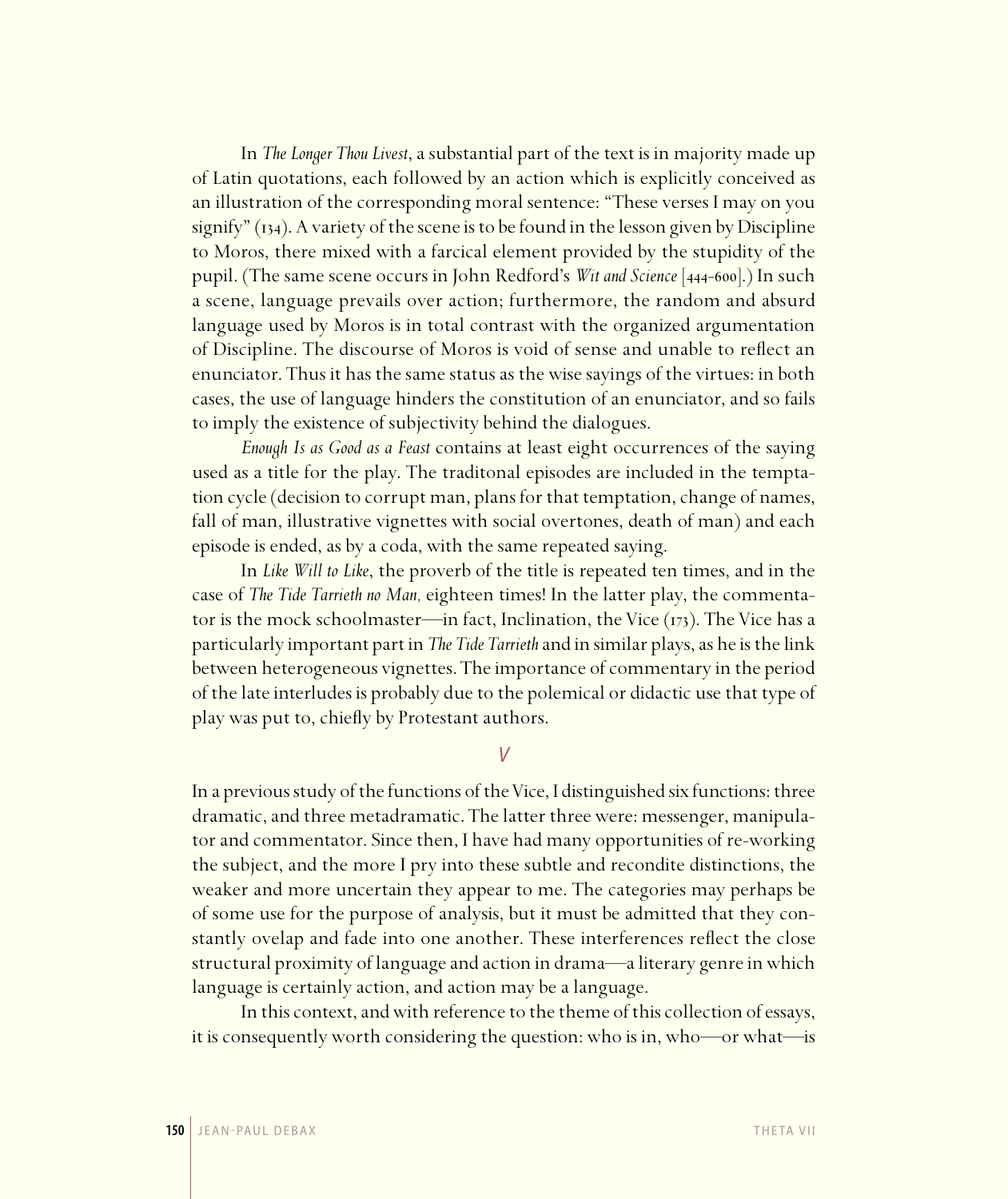In *The Longer Thou Livest*, a substantial part of the text is in majority made up of Latin quotations, each followed by an action which is explicitly conceived as an illustration of the corresponding moral sentence: "These verses I may on you signify"  $(i<sub>34</sub>)$ . A variety of the scene is to be found in the lesson given by Discipline to Moros, there mixed with a farcical element provided by the stupidity of the pupil. (The same scene occurs in John Redford's *Wit and Science* [444-600].) In such a scene, language prevails over action; furthermore, the random and absurd language used by Moros is in total contrast with the organized argumentation of Discipline. The discourse of Moros is void of sense and unable to reflect an enunciator. Thus it has the same status as the wise sayings of the virtues: in both cases, the use of language hinders the constitution of an enunciator, and so fails to imply the existence of subjectivity behind the dialogues.

*Enough Is as Good as a Feast* contains at least eight occurrences of the saying used as a title for the play. The traditonal episodes are included in the temptation cycle (decision to corrupt man, plans for that temptation, change of names, fall of man, illustrative vignettes with social overtones, death of man) and each episode is ended, as by a coda, with the same repeated saying.

In *Like Will to Like*, the proverb of the title is repeated ten times, and in the case of *The Tide Tarrieth no Man,* eighteen times! In the latter play, the commentator is the mock schoolmaster—in fact, Inclination, the Vice  $(173)$ . The Vice has a particularly important part in *The Tide Tarrieth* and in similar plays, as he is the link between heterogeneous vignettes. The importance of commentary in the period of the late interludes is probably due to the polemical or didactic use that type of play was put to, chiefly by Protestant authors.

V

In a previous study of the functions of the Vice, I distinguished six functions: three dramatic, and three metadramatic. The latter three were: messenger, manipulator and commentator. Since then, I have had many opportunities of re-working the subject, and the more I pry into these subtle and recondite distinctions, the weaker and more uncertain they appear to me. The categories may perhaps be of some use for the purpose of analysis, but it must be admitted that they constantly ovelap and fade into one another. These interferences reflect the close structural proximity of language and action in drama—a literary genre in which language is certainly action, and action may be a language.

In this context, and with reference to the theme of this collection of essays, it is consequently worth considering the question: who is in, who—or what—is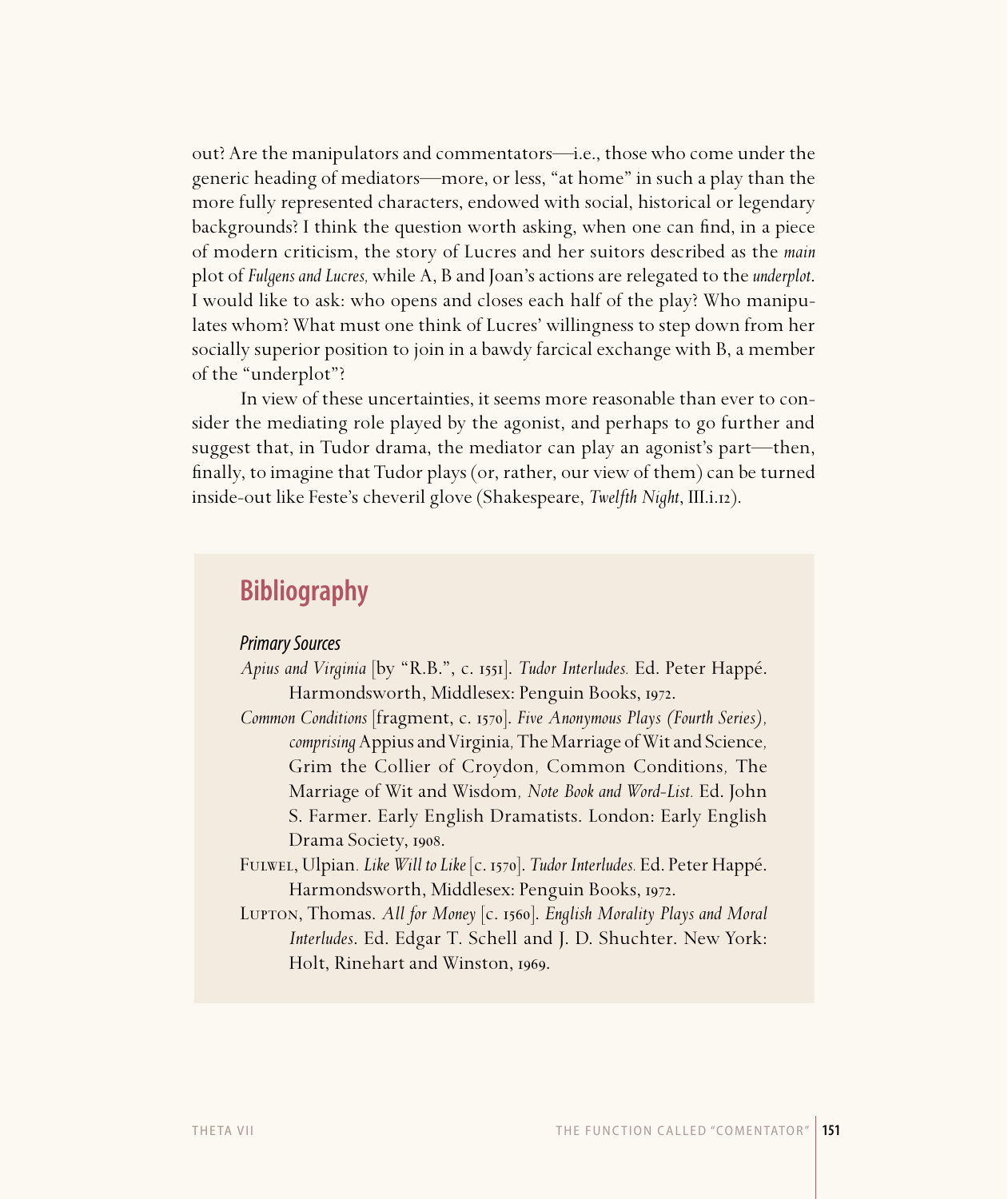out? Are the manipulators and commentators—i.e., those who come under the generic heading of mediators—more, or less, "at home" in such a play than the more fully represented characters, endowed with social, historical or legendary backgrounds? I think the question worth asking, when one can find, in a piece of modern criticism, the story of Lucres and her suitors described as the *main*  plot of *Fulgens and Lucres,* while A, B and Joan's actions are relegated to the *underplot*. I would like to ask: who opens and closes each half of the play? Who manipulates whom? What must one think of Lucres' willingness to step down from her socially superior position to join in a bawdy farcical exchange with B, a member of the "underplot"?

In view of these uncertainties, it seems more reasonable than ever to consider the mediating role played by the agonist, and perhaps to go further and suggest that, in Tudor drama, the mediator can play an agonist's part—then, finally, to imagine that Tudor plays (or, rather, our view of them) can be turned inside-out like Feste's cheveril glove (Shakespeare, *Twelfth Night*, III.i.).

# **Bibliography**

# Primary Sources

- *Apius and Virginia* [by "R.B.", c. ]. *Tudor Interludes.* Ed. Peter Happé. Harmondsworth, Middlesex: Penguin Books, 1972.
- *Common Conditions* [fragment, c. ]. *Five Anonymous Plays (Fourth Series), comprising* Appius and Virginia*,* The Marriage of Wit and Science*,*  Grim the Collier of Croydon*,* Common Conditions*,* The Marriage of Wit and Wisdom*, Note Book and Word-List.* Ed. John S. Farmer. Early English Dramatists. London: Early English Drama Society, 1908.
- Fulwel, Ulpian*. Like Will to Like* [c. ]. *Tudor Interludes.* Ed. Peter Happé. Harmondsworth, Middlesex: Penguin Books, 1972.
- LUPTON, Thomas. All for Money [c. 1560]. *English Morality Plays and Moral Interludes*. Ed. Edgar T. Schell and J. D. Shuchter. New York: Holt, Rinehart and Winston, 1969.